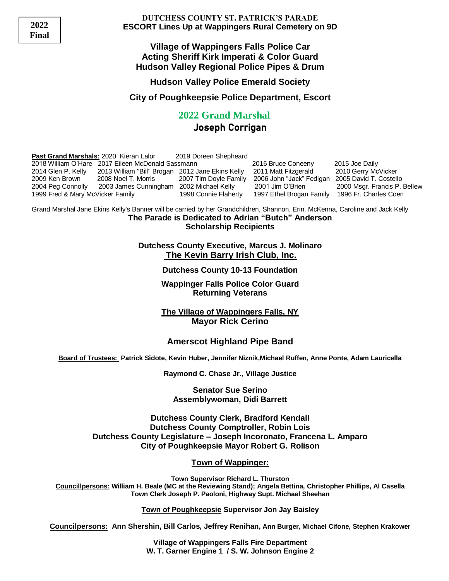**2022 Final**

**DUTCHESS COUNTY ST. PATRICK'S PARADE ESCORT Lines Up at Wappingers Rural Cemetery on 9D**

**Village of Wappingers Falls Police Car Acting Sheriff Kirk Imperati & Color Guard Hudson Valley Regional Police Pipes & Drum**

#### **Hudson Valley Police Emerald Society**

**City of Poughkeepsie Police Department, Escort**

## **2022 Grand Marshal** Joseph Corrigan

| Past Grand Marshals: 2020 Kieran Lalor                |                                                  | 2019 Doreen Shepheard |                                                                                                                               |                              |
|-------------------------------------------------------|--------------------------------------------------|-----------------------|-------------------------------------------------------------------------------------------------------------------------------|------------------------------|
| 2018 William O'Hare   2017 Eileen McDonald Sassmann . |                                                  |                       | 2016 Bruce Coneeny                                                                                                            | 2015 Joe Daily               |
| 2014 Glen P. Kelly                                    | 2013 William "Bill" Brogan 2012 Jane Ekins Kelly |                       | 2011 Matt Fitzgerald                                                                                                          | 2010 Gerry McVicker          |
| 2009 Ken Brown                                        | 2008 Noel T. Morris                              | 2007 Tim Doyle Family | 2006 John "Jack" Fedigan                                                                                                      | 2005 David T. Costello       |
| 2004 Peg Connolly                                     | 2003 James Cunningham 2002 Michael Kelly         |                       | 2001 Jim O'Brien                                                                                                              | 2000 Msgr. Francis P. Bellew |
| 1999 Fred & Mary McVicker Family                      |                                                  | 1998 Connie Flaherty  | 1997 Ethel Brogan Family                                                                                                      | 1996 Fr. Charles Coen        |
|                                                       |                                                  |                       | Grand Marshal Jane Ekins Kelly's Banner will be carried by her Grandchildren, Shannon, Erin, McKenna, Caroline and Jack Kelly |                              |

**The Parade is Dedicated to Adrian "Butch" Anderson Scholarship Recipients**

**Dutchess County Executive, Marcus J. Molinaro The Kevin Barry Irish Club, Inc.**

**Dutchess County 10-13 Foundation**

**Wappinger Falls Police Color Guard Returning Veterans**

**The Village of Wappingers Falls, NY Mayor Rick Cerino**

#### **Amerscot Highland Pipe Band**

**Board of Trustees: Patrick Sidote, Kevin Huber, Jennifer Niznik,Michael Ruffen, Anne Ponte, Adam Lauricella** 

**Raymond C. Chase Jr., Village Justice**

**Senator Sue Serino Assemblywoman, Didi Barrett**

**Dutchess County Clerk, Bradford Kendall Dutchess County Comptroller, Robin Lois Dutchess County Legislature – Joseph Incoronato, Francena L. Amparo City of Poughkeepsie Mayor Robert G. Rolison**

#### **Town of Wappinger:**

**Town Supervisor Richard L. Thurston Councillpersons: William H. Beale (MC at the Reviewing Stand); Angela Bettina, Christopher Phillips, Al Casella Town Clerk Joseph P. Paoloni, Highway Supt. Michael Sheehan**

**Town of Poughkeepsie Supervisor Jon Jay Baisley**

**Councilpersons: Ann Shershin, Bill Carlos, Jeffrey Renihan, Ann Burger, Michael Cifone, Stephen Krakower**

**Village of Wappingers Falls Fire Department W. T. Garner Engine 1 / S. W. Johnson Engine 2**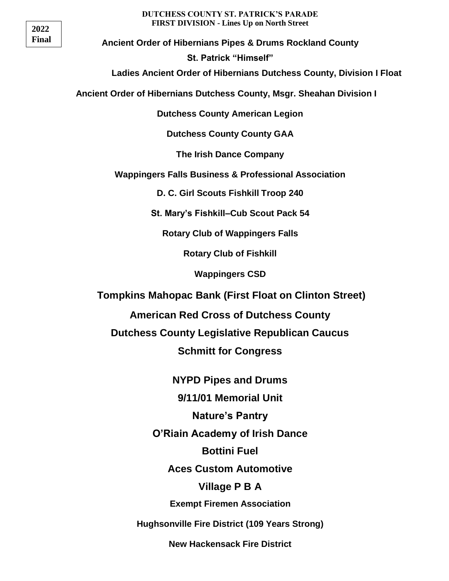## **2022 Final**

#### **DUTCHESS COUNTY ST. PATRICK'S PARADE FIRST DIVISION - Lines Up on North Street**

**Ancient Order of Hibernians Pipes & Drums Rockland County St. Patrick "Himself"**

**Ladies Ancient Order of Hibernians Dutchess County, Division I Float**

 **Ancient Order of Hibernians Dutchess County, Msgr. Sheahan Division I** 

**Dutchess County American Legion**

**Dutchess County County GAA**

**The Irish Dance Company**

**Wappingers Falls Business & Professional Association**

**D. C. Girl Scouts Fishkill Troop 240**

**St. Mary's Fishkill–Cub Scout Pack 54**

**Rotary Club of Wappingers Falls**

**Rotary Club of Fishkill**

**Wappingers CSD**

**Tompkins Mahopac Bank (First Float on Clinton Street)**

**American Red Cross of Dutchess County**

**Dutchess County Legislative Republican Caucus Schmitt for Congress**

> **NYPD Pipes and Drums 9/11/01 Memorial Unit Nature's Pantry O'Riain Academy of Irish Dance Bottini Fuel Aces Custom Automotive Village P B A Exempt Firemen Association Hughsonville Fire District (109 Years Strong)**

> > **New Hackensack Fire District**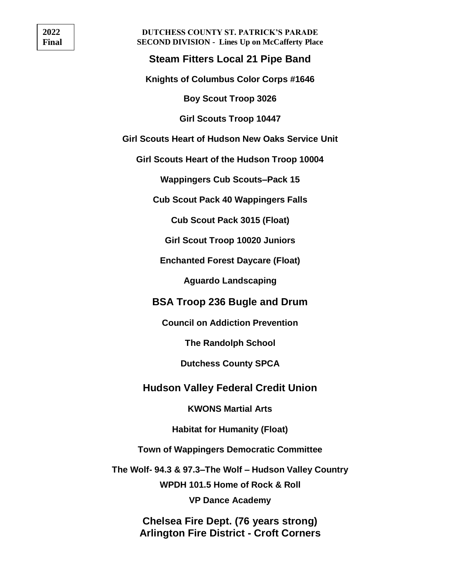**DUTCHESS COUNTY ST. PATRICK'S PARADE SECOND DIVISION - Lines Up on McCafferty Place**

## **Steam Fitters Local 21 Pipe Band**

**Knights of Columbus Color Corps #1646**

**Boy Scout Troop 3026**

**Girl Scouts Troop 10447**

**Girl Scouts Heart of Hudson New Oaks Service Unit**

**Girl Scouts Heart of the Hudson Troop 10004**

**Wappingers Cub Scouts–Pack 15** 

**Cub Scout Pack 40 Wappingers Falls**

**Cub Scout Pack 3015 (Float)**

**Girl Scout Troop 10020 Juniors**

**Enchanted Forest Daycare (Float)**

**Aguardo Landscaping**

**BSA Troop 236 Bugle and Drum**

**Council on Addiction Prevention**

**The Randolph School**

**Dutchess County SPCA**

### **Hudson Valley Federal Credit Union**

**KWONS Martial Arts**

**Habitat for Humanity (Float)**

**Town of Wappingers Democratic Committee**

**The Wolf- 94.3 & 97.3–The Wolf – Hudson Valley Country**

**WPDH 101.5 Home of Rock & Roll**

**VP Dance Academy**

**Chelsea Fire Dept. (76 years strong) Arlington Fire District - Croft Corners**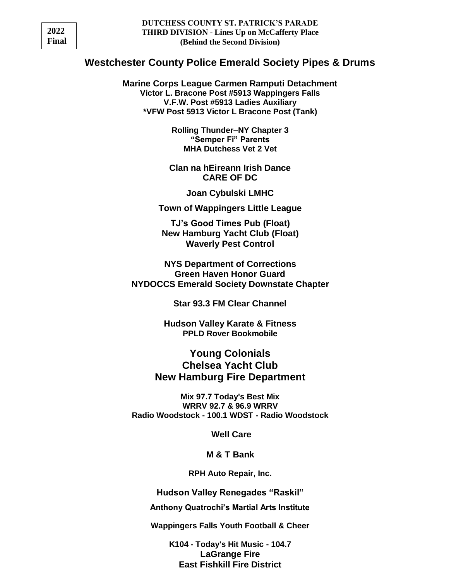| 2022  |
|-------|
| Final |

## **Westchester County Police Emerald Society Pipes & Drums**

**Marine Corps League Carmen Ramputi Detachment Victor L. Bracone Post #5913 Wappingers Falls V.F.W. Post #5913 Ladies Auxiliary \*VFW Post 5913 Victor L Bracone Post (Tank)**

> **Rolling Thunder–NY Chapter 3 "Semper Fi" Parents MHA Dutchess Vet 2 Vet**

**Clan na hEireann Irish Dance CARE OF DC**

**Joan Cybulski LMHC**

**Town of Wappingers Little League**

**TJ's Good Times Pub (Float) New Hamburg Yacht Club (Float) Waverly Pest Control**

**NYS Department of Corrections Green Haven Honor Guard NYDOCCS Emerald Society Downstate Chapter**

**Star 93.3 FM Clear Channel**

**Hudson Valley Karate & Fitness PPLD Rover Bookmobile**

**Young Colonials Chelsea Yacht Club New Hamburg Fire Department**

**Mix 97.7 Today's Best Mix WRRV 92.7 & 96.9 WRRV Radio Woodstock - 100.1 WDST - Radio Woodstock**

**Well Care**

**M & T Bank**

**RPH Auto Repair, Inc.**

**Hudson Valley Renegades "Raskil"**

**Anthony Quatrochi's Martial Arts Institute**

**Wappingers Falls Youth Football & Cheer**

**K104 - Today's Hit Music - 104.7 LaGrange Fire East Fishkill Fire District**